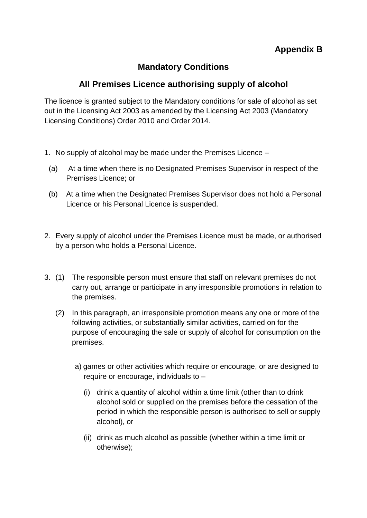## **Mandatory Conditions**

## **All Premises Licence authorising supply of alcohol**

The licence is granted subject to the Mandatory conditions for sale of alcohol as set out in the Licensing Act 2003 as amended by the Licensing Act 2003 (Mandatory Licensing Conditions) Order 2010 and Order 2014.

- 1. No supply of alcohol may be made under the Premises Licence
	- (a) At a time when there is no Designated Premises Supervisor in respect of the Premises Licence; or
	- (b) At a time when the Designated Premises Supervisor does not hold a Personal Licence or his Personal Licence is suspended.
- 2. Every supply of alcohol under the Premises Licence must be made, or authorised by a person who holds a Personal Licence.
- 3. (1) The responsible person must ensure that staff on relevant premises do not carry out, arrange or participate in any irresponsible promotions in relation to the premises.
	- (2) In this paragraph, an irresponsible promotion means any one or more of the following activities, or substantially similar activities, carried on for the purpose of encouraging the sale or supply of alcohol for consumption on the premises.
		- a) games or other activities which require or encourage, or are designed to require or encourage, individuals to –
			- (i) drink a quantity of alcohol within a time limit (other than to drink alcohol sold or supplied on the premises before the cessation of the period in which the responsible person is authorised to sell or supply alcohol), or
			- (ii) drink as much alcohol as possible (whether within a time limit or otherwise);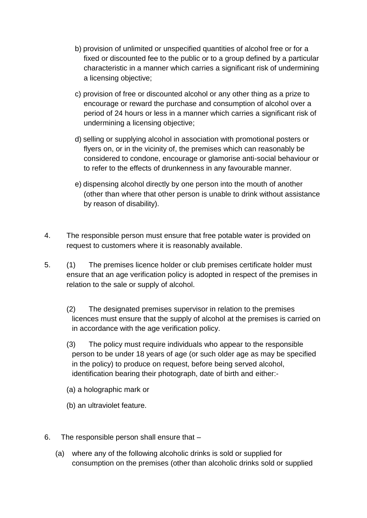- b) provision of unlimited or unspecified quantities of alcohol free or for a fixed or discounted fee to the public or to a group defined by a particular characteristic in a manner which carries a significant risk of undermining a licensing objective;
- c) provision of free or discounted alcohol or any other thing as a prize to encourage or reward the purchase and consumption of alcohol over a period of 24 hours or less in a manner which carries a significant risk of undermining a licensing objective;
- d) selling or supplying alcohol in association with promotional posters or flyers on, or in the vicinity of, the premises which can reasonably be considered to condone, encourage or glamorise anti-social behaviour or to refer to the effects of drunkenness in any favourable manner.
- e) dispensing alcohol directly by one person into the mouth of another (other than where that other person is unable to drink without assistance by reason of disability).
- 4. The responsible person must ensure that free potable water is provided on request to customers where it is reasonably available.
- 5. (1) The premises licence holder or club premises certificate holder must ensure that an age verification policy is adopted in respect of the premises in relation to the sale or supply of alcohol.
	- (2) The designated premises supervisor in relation to the premises licences must ensure that the supply of alcohol at the premises is carried on in accordance with the age verification policy.
	- (3) The policy must require individuals who appear to the responsible person to be under 18 years of age (or such older age as may be specified in the policy) to produce on request, before being served alcohol, identification bearing their photograph, date of birth and either:-
	- (a) a holographic mark or
	- (b) an ultraviolet feature.
- 6. The responsible person shall ensure that
	- (a) where any of the following alcoholic drinks is sold or supplied for consumption on the premises (other than alcoholic drinks sold or supplied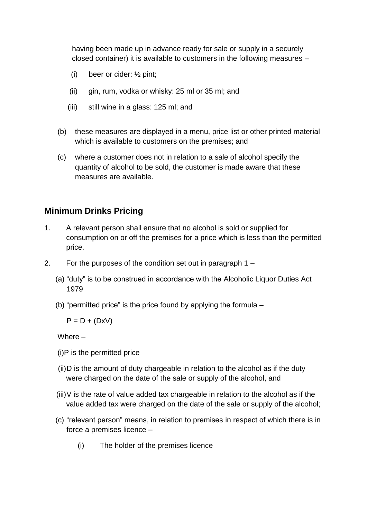having been made up in advance ready for sale or supply in a securely closed container) it is available to customers in the following measures –

- (i) beer or cider: ½ pint;
- (ii) gin, rum, vodka or whisky: 25 ml or 35 ml; and
- (iii) still wine in a glass: 125 ml; and
- (b) these measures are displayed in a menu, price list or other printed material which is available to customers on the premises; and
- (c) where a customer does not in relation to a sale of alcohol specify the quantity of alcohol to be sold, the customer is made aware that these measures are available.

## **Minimum Drinks Pricing**

- 1. A relevant person shall ensure that no alcohol is sold or supplied for consumption on or off the premises for a price which is less than the permitted price.
- 2. For the purposes of the condition set out in paragraph 1
	- (a) "duty" is to be construed in accordance with the Alcoholic Liquor Duties Act 1979
	- (b) "permitted price" is the price found by applying the formula –

 $P = D + (DxV)$ 

Where –

- (i)P is the permitted price
- (ii)D is the amount of duty chargeable in relation to the alcohol as if the duty were charged on the date of the sale or supply of the alcohol, and
- $(iii)$ V is the rate of value added tax chargeable in relation to the alcohol as if the value added tax were charged on the date of the sale or supply of the alcohol;
- (c) "relevant person" means, in relation to premises in respect of which there is in force a premises licence –
	- (i) The holder of the premises licence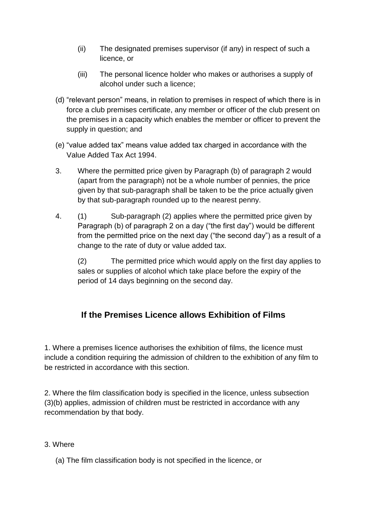- (ii) The designated premises supervisor (if any) in respect of such a licence, or
- (iii) The personal licence holder who makes or authorises a supply of alcohol under such a licence;
- (d) "relevant person" means, in relation to premises in respect of which there is in force a club premises certificate, any member or officer of the club present on the premises in a capacity which enables the member or officer to prevent the supply in question; and
- (e) "value added tax" means value added tax charged in accordance with the Value Added Tax Act 1994.
- 3. Where the permitted price given by Paragraph (b) of paragraph 2 would (apart from the paragraph) not be a whole number of pennies, the price given by that sub-paragraph shall be taken to be the price actually given by that sub-paragraph rounded up to the nearest penny.
- 4. (1) Sub-paragraph (2) applies where the permitted price given by Paragraph (b) of paragraph 2 on a day ("the first day") would be different from the permitted price on the next day ("the second day") as a result of a change to the rate of duty or value added tax.

(2) The permitted price which would apply on the first day applies to sales or supplies of alcohol which take place before the expiry of the period of 14 days beginning on the second day.

# **If the Premises Licence allows Exhibition of Films**

1. Where a premises licence authorises the exhibition of films, the licence must include a condition requiring the admission of children to the exhibition of any film to be restricted in accordance with this section.

2. Where the film classification body is specified in the licence, unless subsection (3)(b) applies, admission of children must be restricted in accordance with any recommendation by that body.

#### 3. Where

(a) The film classification body is not specified in the licence, or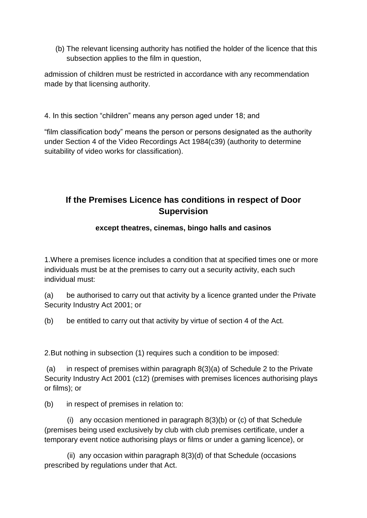(b) The relevant licensing authority has notified the holder of the licence that this subsection applies to the film in question,

admission of children must be restricted in accordance with any recommendation made by that licensing authority.

4. In this section "children" means any person aged under 18; and

"film classification body" means the person or persons designated as the authority under Section 4 of the Video Recordings Act 1984(c39) (authority to determine suitability of video works for classification).

## **If the Premises Licence has conditions in respect of Door Supervision**

#### **except theatres, cinemas, bingo halls and casinos**

1.Where a premises licence includes a condition that at specified times one or more individuals must be at the premises to carry out a security activity, each such individual must:

(a) be authorised to carry out that activity by a licence granted under the Private Security Industry Act 2001; or

(b) be entitled to carry out that activity by virtue of section 4 of the Act.

2.But nothing in subsection (1) requires such a condition to be imposed:

(a) in respect of premises within paragraph 8(3)(a) of Schedule 2 to the Private Security Industry Act 2001 (c12) (premises with premises licences authorising plays or films); or

(b) in respect of premises in relation to:

 (i) any occasion mentioned in paragraph 8(3)(b) or (c) of that Schedule (premises being used exclusively by club with club premises certificate, under a temporary event notice authorising plays or films or under a gaming licence), or

 (ii) any occasion within paragraph 8(3)(d) of that Schedule (occasions prescribed by regulations under that Act.